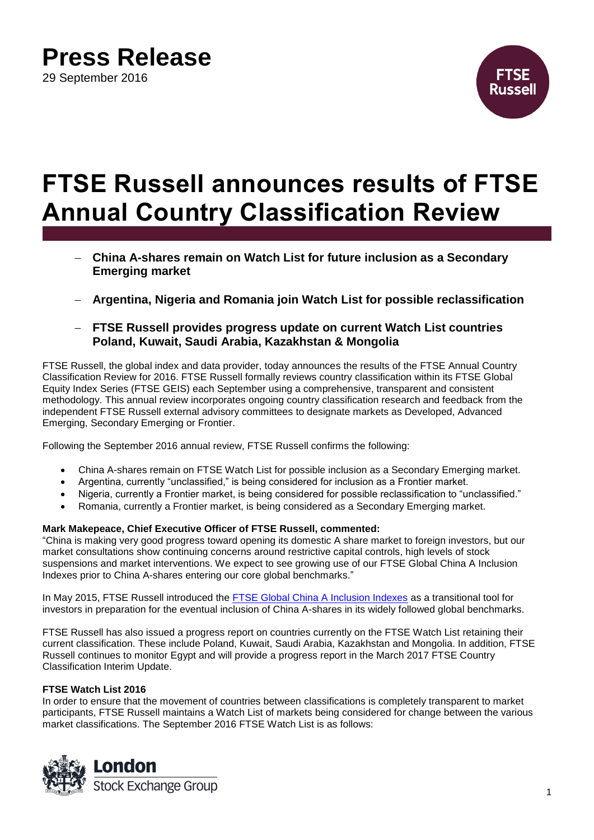## **Press Release**

29 September 2016



# **FTSE Russell announces results of FTSE Annual Country Classification Review**

- **China A-shares remain on Watch List for future inclusion as a Secondary Emerging market**
- **Argentina, Nigeria and Romania join Watch List for possible reclassification**

### **FTSE Russell provides progress update on current Watch List countries Poland, Kuwait, Saudi Arabia, Kazakhstan & Mongolia**

FTSE Russell, the global index and data provider, today announces the results of the FTSE Annual Country Classification Review for 2016. FTSE Russell formally reviews country classification within its FTSE Global Equity Index Series (FTSE GEIS) each September using a comprehensive, transparent and consistent methodology. This annual review incorporates ongoing country classification research and feedback from the independent FTSE Russell external advisory committees to designate markets as Developed, Advanced Emerging, Secondary Emerging or Frontier.

Following the September 2016 annual review, FTSE Russell confirms the following:

- China A-shares remain on FTSE Watch List for possible inclusion as a Secondary Emerging market.
- Argentina, currently "unclassified," is being considered for inclusion as a Frontier market.
- Nigeria, currently a Frontier market, is being considered for possible reclassification to "unclassified."
- Romania, currently a Frontier market, is being considered as a Secondary Emerging market.

#### **Mark Makepeace, Chief Executive Officer of FTSE Russell, commented:**

"China is making very good progress toward opening its domestic A share market to foreign investors, but our market consultations show continuing concerns around restrictive capital controls, high levels of stock suspensions and market interventions. We expect to see growing use of our FTSE Global China A Inclusion Indexes prior to China A-shares entering our core global benchmarks."

In May 2015, FTSE Russell introduced the [FTSE Global China A Inclusion Indexes](http://www.ftserussell.com/files/research/managing-transition-global-china-inclusion-indexes) as a transitional tool for investors in preparation for the eventual inclusion of China A-shares in its widely followed global benchmarks.

FTSE Russell has also issued a progress report on countries currently on the FTSE Watch List retaining their current classification. These include Poland, Kuwait, Saudi Arabia, Kazakhstan and Mongolia. In addition, FTSE Russell continues to monitor Egypt and will provide a progress report in the March 2017 FTSE Country Classification Interim Update.

#### **FTSE Watch List 2016**

In order to ensure that the movement of countries between classifications is completely transparent to market participants, FTSE Russell maintains a Watch List of markets being considered for change between the various market classifications. The September 2016 FTSE Watch List is as follows:

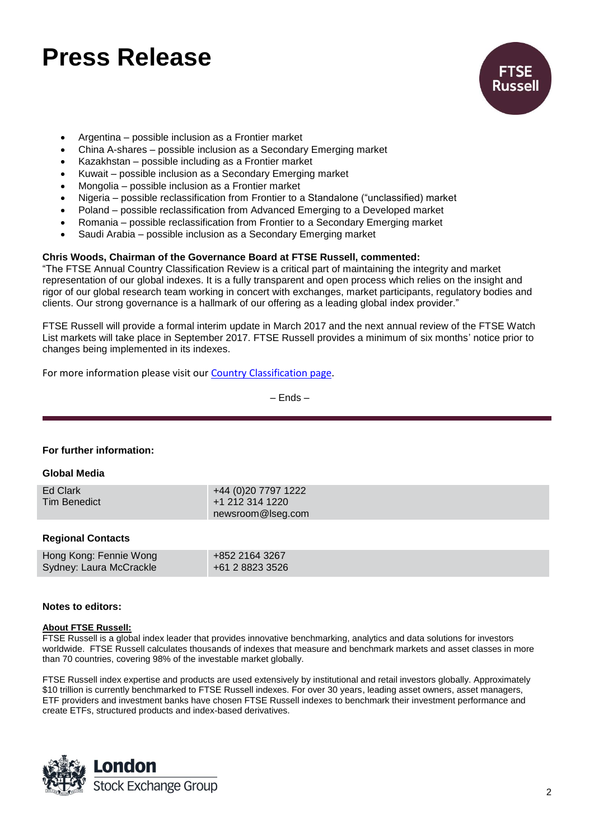### **Press Release**



- Argentina possible inclusion as a Frontier market
- China A-shares possible inclusion as a Secondary Emerging market
- Kazakhstan possible including as a Frontier market
- Kuwait possible inclusion as a Secondary Emerging market
- Mongolia possible inclusion as a Frontier market
- Nigeria possible reclassification from Frontier to a Standalone ("unclassified) market
- Poland possible reclassification from Advanced Emerging to a Developed market
- Romania possible reclassification from Frontier to a Secondary Emerging market
- Saudi Arabia possible inclusion as a Secondary Emerging market

#### **Chris Woods, Chairman of the Governance Board at FTSE Russell, commented:**

"The FTSE Annual Country Classification Review is a critical part of maintaining the integrity and market representation of our global indexes. It is a fully transparent and open process which relies on the insight and rigor of our global research team working in concert with exchanges, market participants, regulatory bodies and clients. Our strong governance is a hallmark of our offering as a leading global index provider."

FTSE Russell will provide a formal interim update in March 2017 and the next annual review of the FTSE Watch List markets will take place in September 2017. FTSE Russell provides a minimum of six months' notice prior to changes being implemented in its indexes.

For more information please visit our Country [Classification page.](http://www.ftse.com/products/indices/country-classification)

– Ends –

#### **For further information:**

#### **Global Media**

| Ed Clark            | +44 (0)20 7797 1222 |
|---------------------|---------------------|
| <b>Tim Benedict</b> | +1 212 314 1220     |
|                     | newsroom@lseg.com   |
|                     |                     |

#### **Regional Contacts**

| Hong Kong: Fennie Wong  | +852 2164 3267  |
|-------------------------|-----------------|
| Sydney: Laura McCrackle | +61 2 8823 3526 |

#### **Notes to editors:**

#### **About FTSE Russell:**

FTSE Russell is a global index leader that provides innovative benchmarking, analytics and data solutions for investors worldwide. FTSE Russell calculates thousands of indexes that measure and benchmark markets and asset classes in more than 70 countries, covering 98% of the investable market globally.

FTSE Russell index expertise and products are used extensively by institutional and retail investors globally. Approximately \$10 trillion is currently benchmarked to FTSE Russell indexes. For over 30 years, leading asset owners, asset managers, ETF providers and investment banks have chosen FTSE Russell indexes to benchmark their investment performance and create ETFs, structured products and index-based derivatives.